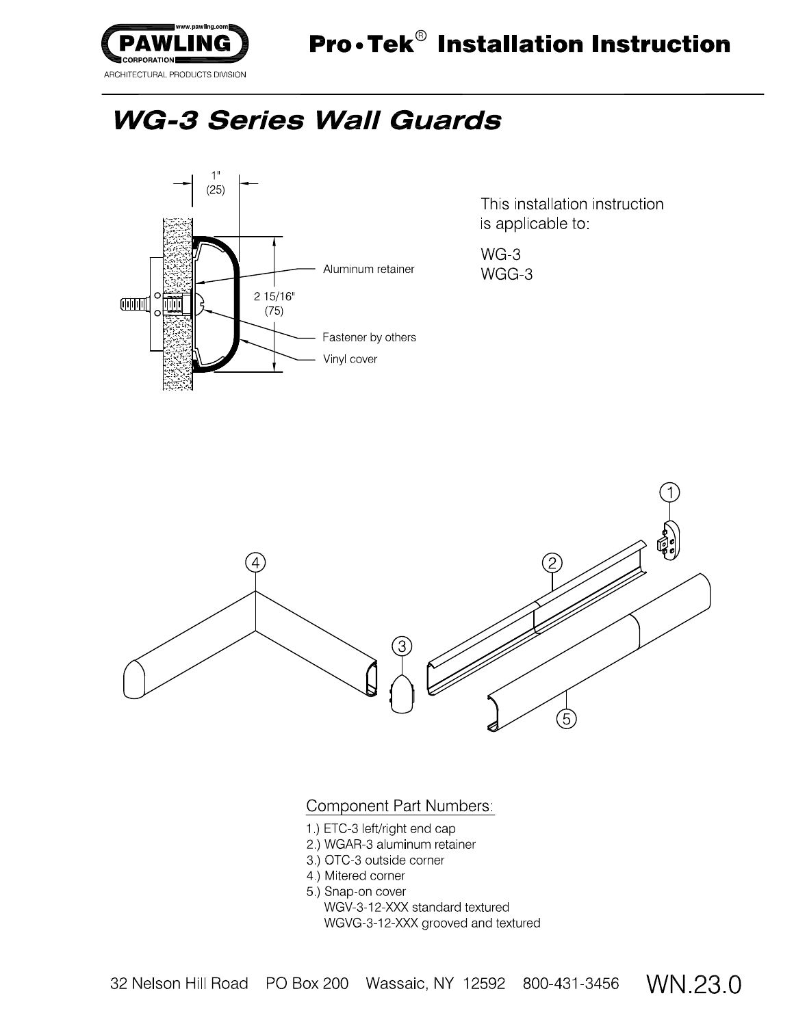

This installation instruction is applicable to:

WG-3 WGG-3



**Component Part Numbers:** 

- 1.) ETC-3 left/right end cap
- 2) WGAR-3 aluminum retainer
- 3.) OTC-3 outside corner
- 4) Mitered corner
- 5.) Snap-on cover

WGV-3-12-XXX standard textured WGVG-3-12-XXX grooved and textured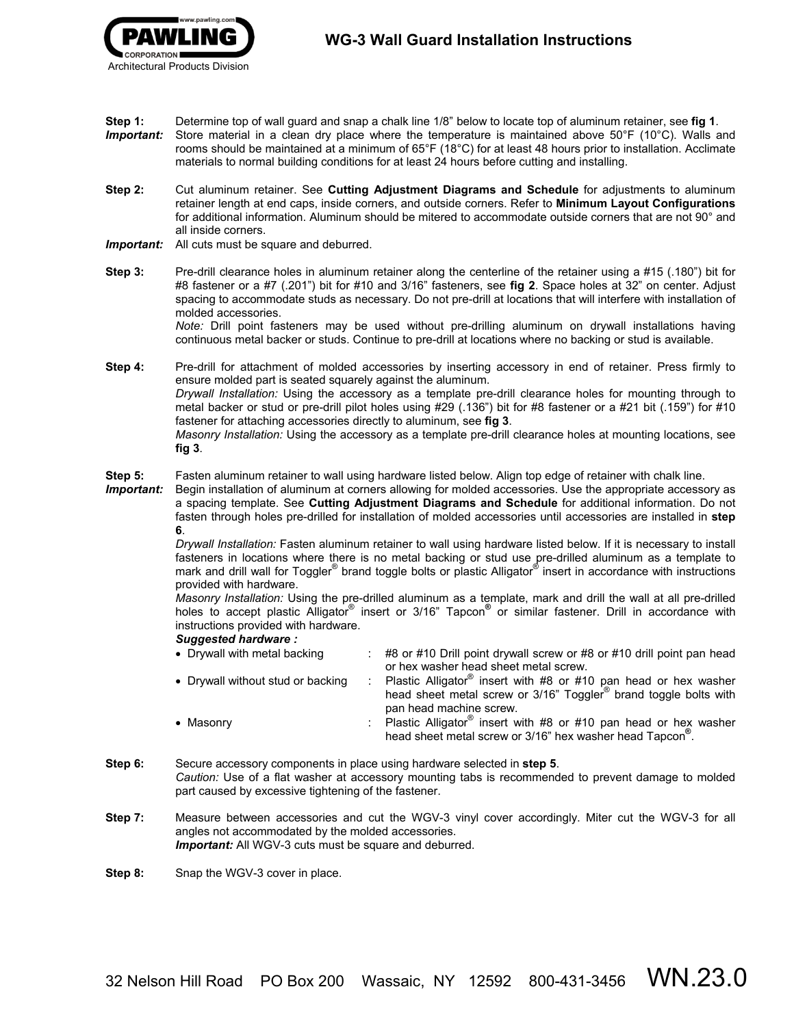- **Step 1:** Determine top of wall guard and snap a chalk line 1/8" below to locate top of aluminum retainer, see **fig 1**.
- *Important:*Store material in a clean dry place where the temperature is maintained above 50°F (10°C). Walls and rooms should be maintained at a minimum of 65°F (18°C) for at least 48 hours prior to installation. Acclimate materials to normal building conditions for at least 24 hours before cutting and installing.
- **Step 2:** Cut aluminum retainer. See **Cutting Adjustment Diagrams and Schedule** for adjustments to aluminum retainer length at end caps, inside corners, and outside corners. Refer to **Minimum Layout Configurations** for additional information. Aluminum should be mitered to accommodate outside corners that are not 90° and all inside corners.
- *Important:* All cuts must be square and deburred.
- **Step 3:** Pre-drill clearance holes in aluminum retainer along the centerline of the retainer using a #15 (.180") bit for #8 fastener or a #7 (.201") bit for #10 and 3/16" fasteners, see **fig 2**. Space holes at 32" on center. Adjust spacing to accommodate studs as necessary. Do not pre-drill at locations that will interfere with installation of molded accessories.

*Note:* Drill point fasteners may be used without pre-drilling aluminum on drywall installations having continuous metal backer or studs. Continue to pre-drill at locations where no backing or stud is available.

**Step 4:** Pre-drill for attachment of molded accessories by inserting accessory in end of retainer. Press firmly to ensure molded part is seated squarely against the aluminum. *Drywall Installation:* Using the accessory as a template pre-drill clearance holes for mounting through to metal backer or stud or pre-drill pilot holes using #29 (.136") bit for #8 fastener or a #21 bit (.159") for #10 fastener for attaching accessories directly to aluminum, see **fig 3**. *Masonry Installation:* Using the accessory as a template pre-drill clearance holes at mounting locations, see **fig 3**.

**Step 5:** Fasten aluminum retainer to wall using hardware listed below. Align top edge of retainer with chalk line.

*Important:*Begin installation of aluminum at corners allowing for molded accessories. Use the appropriate accessory as a spacing template. See **Cutting Adjustment Diagrams and Schedule** for additional information. Do not fasten through holes pre-drilled for installation of molded accessories until accessories are installed in **step 6**.

> *Drywall Installation:* Fasten aluminum retainer to wall using hardware listed below. If it is necessary to install fasteners in locations where there is no metal backing or stud use pre-drilled aluminum as a template to mark and drill wall for Toggler<sup>®</sup> brand toggle bolts or plastic Alligator<sup>®</sup> insert in accordance with instructions provided with hardware.

> *Masonry Installation:* Using the pre-drilled aluminum as a template, mark and drill the wall at all pre-drilled holes to accept plastic Alligator<sup>®</sup> insert or 3/16" Tapcon<sup>®</sup> or similar fastener. Drill in accordance with instructions provided with hardware.

## *Suggested hardware :*

| • Drywall with metal backing      | $\div$ #8 or #10 Drill point drywall screw or #8 or #10 drill point pan head<br>or hex washer head sheet metal screw.                                                             |
|-----------------------------------|-----------------------------------------------------------------------------------------------------------------------------------------------------------------------------------|
| • Drywall without stud or backing | : Plastic Alligator <sup>®</sup> insert with #8 or #10 pan head or hex washer<br>head sheet metal screw or 3/16" Toggler <sup>®</sup> brand toggle bolts with                     |
| • Masonry                         | pan head machine screw.<br>: Plastic Alligator <sup>®</sup> insert with #8 or #10 pan head or hex washer<br>head sheet metal screw or 3/16" hex washer head Tapcon <sup>®</sup> . |

- **Step 6:** Secure accessory components in place using hardware selected in **step 5**. *Caution:* Use of a flat washer at accessory mounting tabs is recommended to prevent damage to molded part caused by excessive tightening of the fastener.
- **Step 7:** Measure between accessories and cut the WGV-3 vinyl cover accordingly. Miter cut the WGV-3 for all angles not accommodated by the molded accessories. **Important:** All WGV-3 cuts must be square and deburred.

**Step 8:** Snap the WGV-3 cover in place.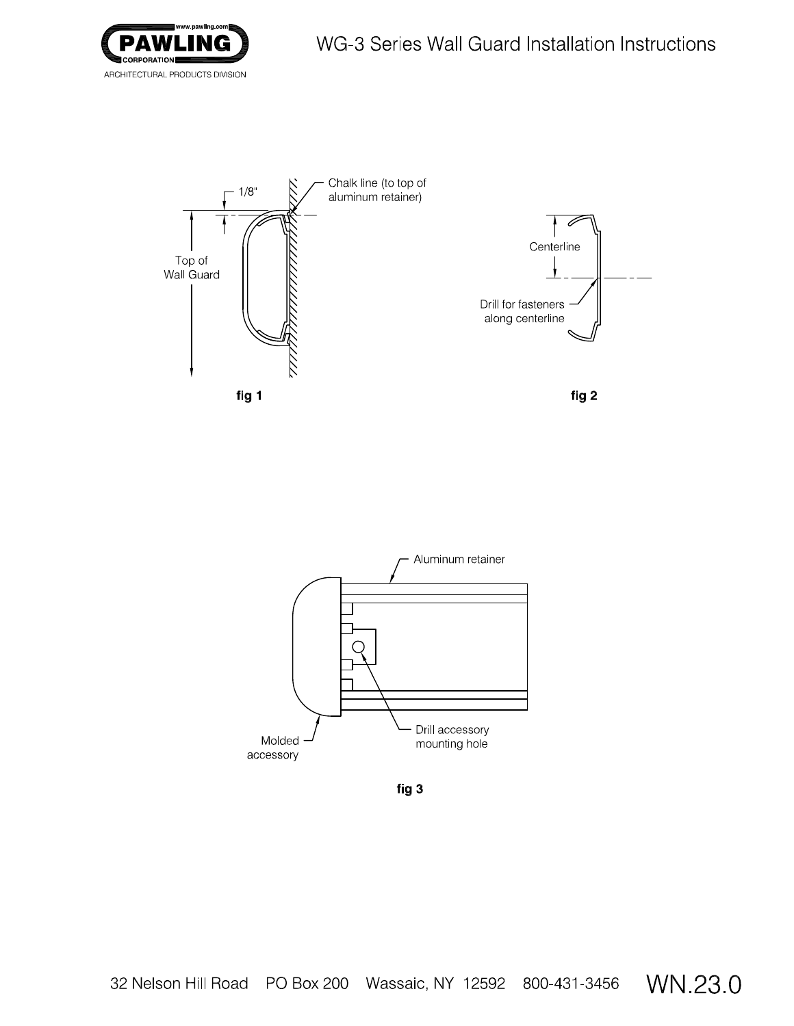



fig 3